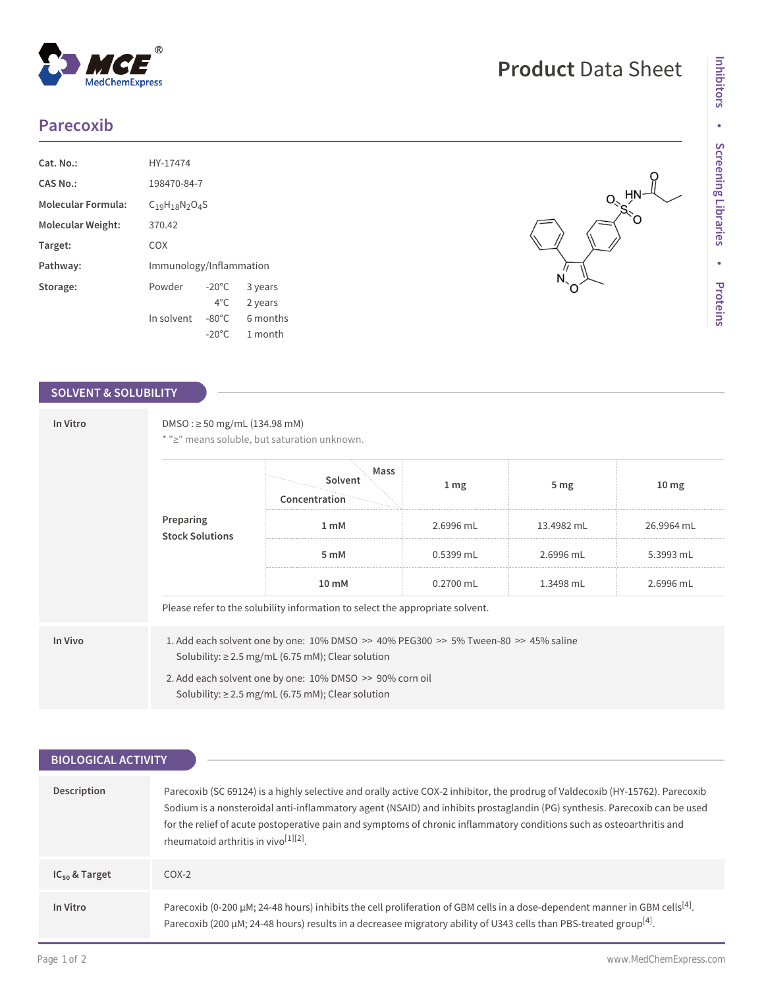## **Parecoxib**

| Cat. No.:                 | HY-17474                |                 |          |
|---------------------------|-------------------------|-----------------|----------|
| <b>CAS No.:</b>           | 198470-84-7             |                 |          |
| <b>Molecular Formula:</b> | $C_{19}H_{18}N_2O_4S$   |                 |          |
| Molecular Weight:         | 370.42                  |                 |          |
| Target:                   | COX                     |                 |          |
| Pathway:                  | Immunology/Inflammation |                 |          |
| Storage:                  | Powder                  | $-20^{\circ}$ C | 3 years  |
|                           |                         | $4^{\circ}$ C   | 2 years  |
|                           | In solvent              | $-80^{\circ}$ C | 6 months |
|                           |                         | $-20^{\circ}$ C | 1 month  |

 $^{\circledR}$ 

MedChemExpress

### **SOLVENT & SOLUBILITY**

| In Vitro | $DMSO: \geq 50$ mg/mL (134.98 mM)<br>* ">" means soluble, but saturation unknown.                                                                                                                                                                                   |                                  |                 |                 |                  |  |
|----------|---------------------------------------------------------------------------------------------------------------------------------------------------------------------------------------------------------------------------------------------------------------------|----------------------------------|-----------------|-----------------|------------------|--|
|          | Preparing<br><b>Stock Solutions</b>                                                                                                                                                                                                                                 | Mass<br>Solvent<br>Concentration | 1 <sub>mg</sub> | 5 <sub>mg</sub> | 10 <sub>mg</sub> |  |
|          |                                                                                                                                                                                                                                                                     | 1 <sub>m</sub> M                 | 2.6996 mL       | 13.4982 mL      | 26.9964 mL       |  |
|          |                                                                                                                                                                                                                                                                     | 5 mM                             | 0.5399 mL       | 2.6996 mL       | 5.3993 mL        |  |
|          |                                                                                                                                                                                                                                                                     | 10 mM                            | 0.2700 mL       | 1.3498 mL       | 2.6996 mL        |  |
|          | Please refer to the solubility information to select the appropriate solvent.                                                                                                                                                                                       |                                  |                 |                 |                  |  |
| In Vivo  | 1. Add each solvent one by one: 10% DMSO >> 40% PEG300 >> 5% Tween-80 >> 45% saline<br>Solubility: $\geq$ 2.5 mg/mL (6.75 mM); Clear solution<br>2. Add each solvent one by one: 10% DMSO >> 90% corn oil<br>Solubility: $\geq$ 2.5 mg/mL (6.75 mM); Clear solution |                                  |                 |                 |                  |  |

| <b>BIOLOGICAL ACTIVITY</b> |                                                                                                                                                                                                                                                                                                                                                                                                                                |  |  |  |
|----------------------------|--------------------------------------------------------------------------------------------------------------------------------------------------------------------------------------------------------------------------------------------------------------------------------------------------------------------------------------------------------------------------------------------------------------------------------|--|--|--|
|                            |                                                                                                                                                                                                                                                                                                                                                                                                                                |  |  |  |
| Description                | Parecoxib (SC 69124) is a highly selective and orally active COX-2 inhibitor, the prodrug of Valdecoxib (HY-15762). Parecoxib<br>Sodium is a nonsteroidal anti-inflammatory agent (NSAID) and inhibits prostaglandin (PG) synthesis. Parecoxib can be used<br>for the relief of acute postoperative pain and symptoms of chronic inflammatory conditions such as osteoarthritis and<br>rheumatoid arthritis in vivo $[1][2]$ . |  |  |  |
| $IC_{50}$ & Target         | $COX-2$                                                                                                                                                                                                                                                                                                                                                                                                                        |  |  |  |
| In Vitro                   | Parecoxib (0-200 $\mu$ M; 24-48 hours) inhibits the cell proliferation of GBM cells in a dose-dependent manner in GBM cells <sup>[4]</sup> .<br>Parecoxib (200 µM; 24-48 hours) results in a decreasee migratory ability of U343 cells than PBS-treated group <sup>[4]</sup> .                                                                                                                                                 |  |  |  |

# **Product** Data Sheet

 $O\left(\frac{H}{N}\right)$